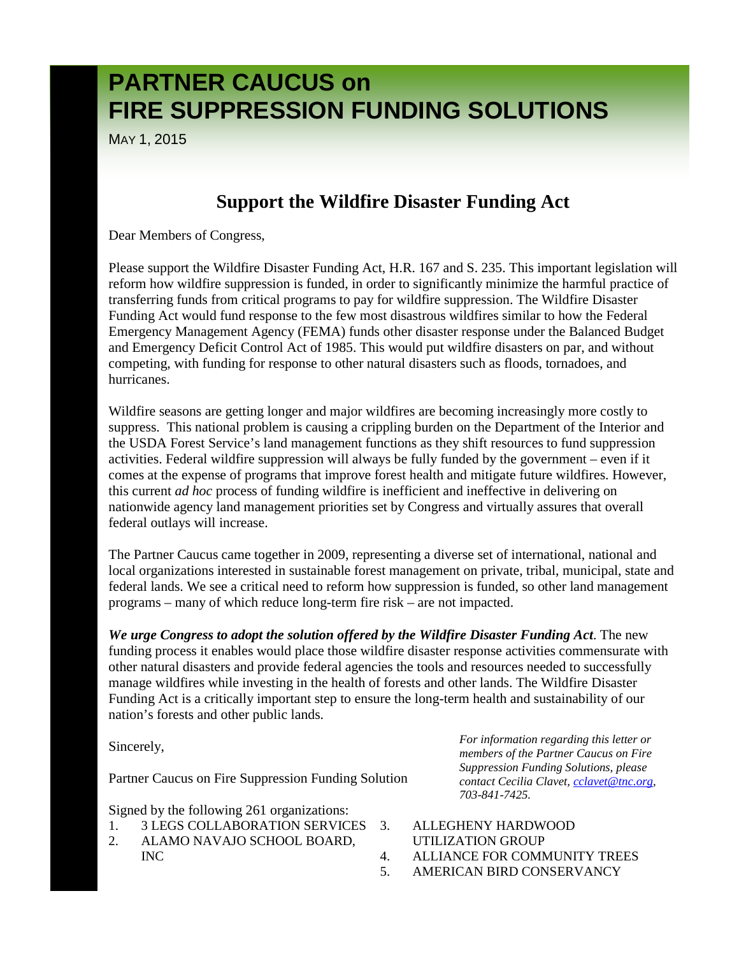MAY 1, 2015

#### **Support the Wildfire Disaster Funding Act**

Dear Members of Congress,

Please support the Wildfire Disaster Funding Act, H.R. 167 and S. 235. This important legislation will reform how wildfire suppression is funded, in order to significantly minimize the harmful practice of transferring funds from critical programs to pay for wildfire suppression. The Wildfire Disaster Funding Act would fund response to the few most disastrous wildfires similar to how the Federal Emergency Management Agency (FEMA) funds other disaster response under the Balanced Budget and Emergency Deficit Control Act of 1985. This would put wildfire disasters on par, and without competing, with funding for response to other natural disasters such as floods, tornadoes, and hurricanes.

Wildfire seasons are getting longer and major wildfires are becoming increasingly more costly to suppress. This national problem is causing a crippling burden on the Department of the Interior and the USDA Forest Service's land management functions as they shift resources to fund suppression activities. Federal wildfire suppression will always be fully funded by the government – even if it comes at the expense of programs that improve forest health and mitigate future wildfires. However, this current *ad hoc* process of funding wildfire is inefficient and ineffective in delivering on nationwide agency land management priorities set by Congress and virtually assures that overall federal outlays will increase.

The Partner Caucus came together in 2009, representing a diverse set of international, national and local organizations interested in sustainable forest management on private, tribal, municipal, state and federal lands. We see a critical need to reform how suppression is funded, so other land management programs – many of which reduce long-term fire risk – are not impacted.

*We urge Congress to adopt the solution offered by the Wildfire Disaster Funding Act*. The new funding process it enables would place those wildfire disaster response activities commensurate with other natural disasters and provide federal agencies the tools and resources needed to successfully manage wildfires while investing in the health of forests and other lands. The Wildfire Disaster Funding Act is a critically important step to ensure the long-term health and sustainability of our nation's forests and other public lands.

Sincerely,

Partner Caucus on Fire Suppression Funding Solution

Signed by the following 261 organizations:

- 1. 3 LEGS COLLABORATION SERVICES
- 2. ALAMO NAVAJO SCHOOL BOARD, INC

*For information regarding this letter or members of the Partner Caucus on Fire Suppression Funding Solutions, please contact Cecilia Clavet, [cclavet@tnc.org,](mailto:cclavet@tnc.org)  703-841-7425.*

- 3. ALLEGHENY HARDWOOD UTILIZATION GROUP
- 4. ALLIANCE FOR COMMUNITY TREES
- 5. AMERICAN BIRD CONSERVANCY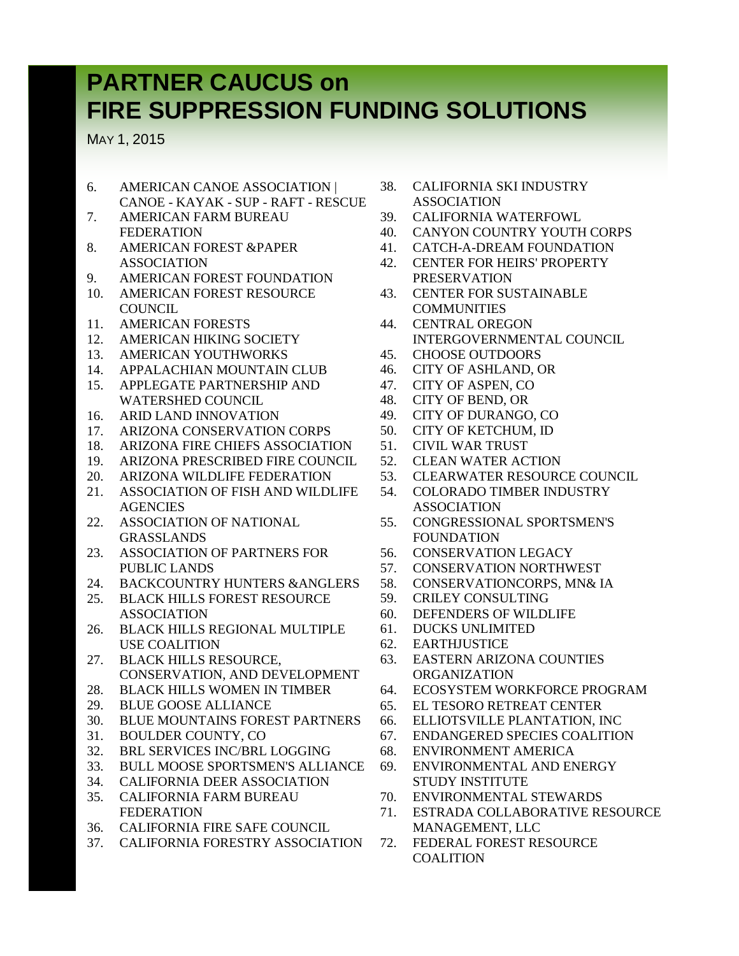MAY 1, 2015

- 6. AMERICAN CANOE ASSOCIATION | CANOE - KAYAK - SUP - RAFT - RESCUE
- 7. AMERICAN FARM BUREAU FEDERATION
- 8. AMERICAN FOREST &PAPER ASSOCIATION
- 9. AMERICAN FOREST FOUNDATION
- 10. AMERICAN FOREST RESOURCE **COUNCIL**
- 11. AMERICAN FORESTS
- 12. AMERICAN HIKING SOCIETY
- 13. AMERICAN YOUTHWORKS
- 14. APPALACHIAN MOUNTAIN CLUB 15. APPLEGATE PARTNERSHIP AND
- WATERSHED COUNCIL
- 16. ARID LAND INNOVATION
- 17. ARIZONA CONSERVATION CORPS
- 18. ARIZONA FIRE CHIEFS ASSOCIATION
- 19. ARIZONA PRESCRIBED FIRE COUNCIL
- 20. ARIZONA WILDLIFE FEDERATION
- 21. ASSOCIATION OF FISH AND WILDLIFE **AGENCIES**
- 22. ASSOCIATION OF NATIONAL GRASSLANDS
- 23. ASSOCIATION OF PARTNERS FOR PUBLIC LANDS
- 24. BACKCOUNTRY HUNTERS &ANGLERS
- 25. BLACK HILLS FOREST RESOURCE ASSOCIATION
- 26. BLACK HILLS REGIONAL MULTIPLE USE COALITION
- 27. BLACK HILLS RESOURCE, CONSERVATION, AND DEVELOPMENT
- 28. BLACK HILLS WOMEN IN TIMBER
- 29. BLUE GOOSE ALLIANCE
- 30. BLUE MOUNTAINS FOREST PARTNERS
- 31. BOULDER COUNTY, CO
- 32. BRL SERVICES INC/BRL LOGGING
- 33. BULL MOOSE SPORTSMEN'S ALLIANCE
- 34. CALIFORNIA DEER ASSOCIATION
- 35. CALIFORNIA FARM BUREAU FEDERATION
- 36. CALIFORNIA FIRE SAFE COUNCIL
- 37. CALIFORNIA FORESTRY ASSOCIATION
- 38. CALIFORNIA SKI INDUSTRY ASSOCIATION
- 39. CALIFORNIA WATERFOWL
- 40. CANYON COUNTRY YOUTH CORPS
- 41. CATCH-A-DREAM FOUNDATION
- 42. CENTER FOR HEIRS' PROPERTY PRESERVATION
- 43. CENTER FOR SUSTAINABLE COMMUNITIES
- 44. CENTRAL OREGON INTERGOVERNMENTAL COUNCIL
- 45. CHOOSE OUTDOORS
- 46. CITY OF ASHLAND, OR
- 47. CITY OF ASPEN, CO
- 48. CITY OF BEND, OR
- 49. CITY OF DURANGO, CO
- 50. CITY OF KETCHUM, ID
- 51. CIVIL WAR TRUST
- 52. CLEAN WATER ACTION
- 53. CLEARWATER RESOURCE COUNCIL
- 54. COLORADO TIMBER INDUSTRY ASSOCIATION
- 55. CONGRESSIONAL SPORTSMEN'S FOUNDATION
- 56. CONSERVATION LEGACY
- 57. CONSERVATION NORTHWEST
- 58. CONSERVATIONCORPS, MN& IA
- 59. CRILEY CONSULTING
- 60. DEFENDERS OF WILDLIFE
- 61. DUCKS UNLIMITED
- 62. EARTHJUSTICE
- 63. EASTERN ARIZONA COUNTIES ORGANIZATION
- 64. ECOSYSTEM WORKFORCE PROGRAM
- 65. EL TESORO RETREAT CENTER
- 66. ELLIOTSVILLE PLANTATION, INC
- 67. ENDANGERED SPECIES COALITION
- 68. ENVIRONMENT AMERICA
- 69. ENVIRONMENTAL AND ENERGY STUDY INSTITUTE
- 70. ENVIRONMENTAL STEWARDS
- 71. ESTRADA COLLABORATIVE RESOURCE MANAGEMENT, LLC
- 72. FEDERAL FOREST RESOURCE **COALITION**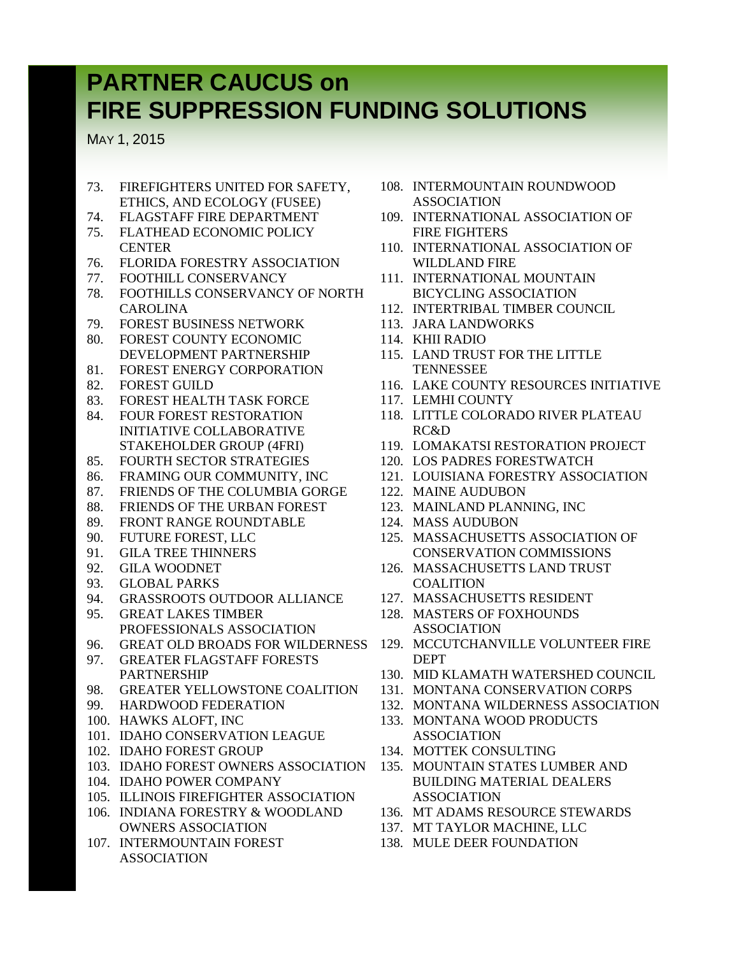MAY 1, 2015

- 73. FIREFIGHTERS UNITED FOR SAFETY, ETHICS, AND ECOLOGY (FUSEE)
- 74. FLAGSTAFF FIRE DEPARTMENT 75. FLATHEAD ECONOMIC POLICY
- **CENTER** 76. FLORIDA FORESTRY ASSOCIATION
- 77. FOOTHILL CONSERVANCY
- 78. FOOTHILLS CONSERVANCY OF NORTH CAROLINA
- 79. FOREST BUSINESS NETWORK
- 80. FOREST COUNTY ECONOMIC DEVELOPMENT PARTNERSHIP
- 81. FOREST ENERGY CORPORATION
- 82. FOREST GUILD
- 83. FOREST HEALTH TASK FORCE
- 84. FOUR FOREST RESTORATION INITIATIVE COLLABORATIVE STAKEHOLDER GROUP (4FRI)
- 85. FOURTH SECTOR STRATEGIES
- 86. FRAMING OUR COMMUNITY, INC
- 87. FRIENDS OF THE COLUMBIA GORGE
- 88. FRIENDS OF THE URBAN FOREST
- 89. FRONT RANGE ROUNDTABLE
- 90. FUTURE FOREST, LLC
- 91. GILA TREE THINNERS
- 92. GILA WOODNET
- 93. GLOBAL PARKS
- 94. GRASSROOTS OUTDOOR ALLIANCE
- 95. GREAT LAKES TIMBER PROFESSIONALS ASSOCIATION
- 96. GREAT OLD BROADS FOR WILDERNESS
- 97. GREATER FLAGSTAFF FORESTS PARTNERSHIP
- 98. GREATER YELLOWSTONE COALITION
- 99. HARDWOOD FEDERATION
- 100. HAWKS ALOFT, INC
- 101. IDAHO CONSERVATION LEAGUE
- 102. IDAHO FOREST GROUP
- 103. IDAHO FOREST OWNERS ASSOCIATION
- 104. IDAHO POWER COMPANY
- 105. ILLINOIS FIREFIGHTER ASSOCIATION
- 106. INDIANA FORESTRY & WOODLAND OWNERS ASSOCIATION
- 107. INTERMOUNTAIN FOREST ASSOCIATION
- 108. INTERMOUNTAIN ROUNDWOOD ASSOCIATION
- 109. INTERNATIONAL ASSOCIATION OF FIRE FIGHTERS
- 110. INTERNATIONAL ASSOCIATION OF WILDLAND FIRE
- 111. INTERNATIONAL MOUNTAIN BICYCLING ASSOCIATION
- 112. INTERTRIBAL TIMBER COUNCIL
- 113. JARA LANDWORKS
- 114. KHII RADIO
- 115. LAND TRUST FOR THE LITTLE **TENNESSEE**
- 116. LAKE COUNTY RESOURCES INITIATIVE
- 117. LEMHI COUNTY
- 118. LITTLE COLORADO RIVER PLATEAU RC&D
- 119. LOMAKATSI RESTORATION PROJECT
- 120. LOS PADRES FORESTWATCH
- 121. LOUISIANA FORESTRY ASSOCIATION
- 122. MAINE AUDUBON
- 123. MAINLAND PLANNING, INC
- 124. MASS AUDUBON
- 125. MASSACHUSETTS ASSOCIATION OF CONSERVATION COMMISSIONS
- 126. MASSACHUSETTS LAND TRUST COALITION
- 127. MASSACHUSETTS RESIDENT
- 128. MASTERS OF FOXHOUNDS ASSOCIATION
- 129. MCCUTCHANVILLE VOLUNTEER FIRE DEPT
- 130. MID KLAMATH WATERSHED COUNCIL
- 131. MONTANA CONSERVATION CORPS
- 132. MONTANA WILDERNESS ASSOCIATION
- 133. MONTANA WOOD PRODUCTS ASSOCIATION
- 134. MOTTEK CONSULTING
- 135. MOUNTAIN STATES LUMBER AND BUILDING MATERIAL DEALERS ASSOCIATION
- 136. MT ADAMS RESOURCE STEWARDS
- 137. MT TAYLOR MACHINE, LLC
- 138. MULE DEER FOUNDATION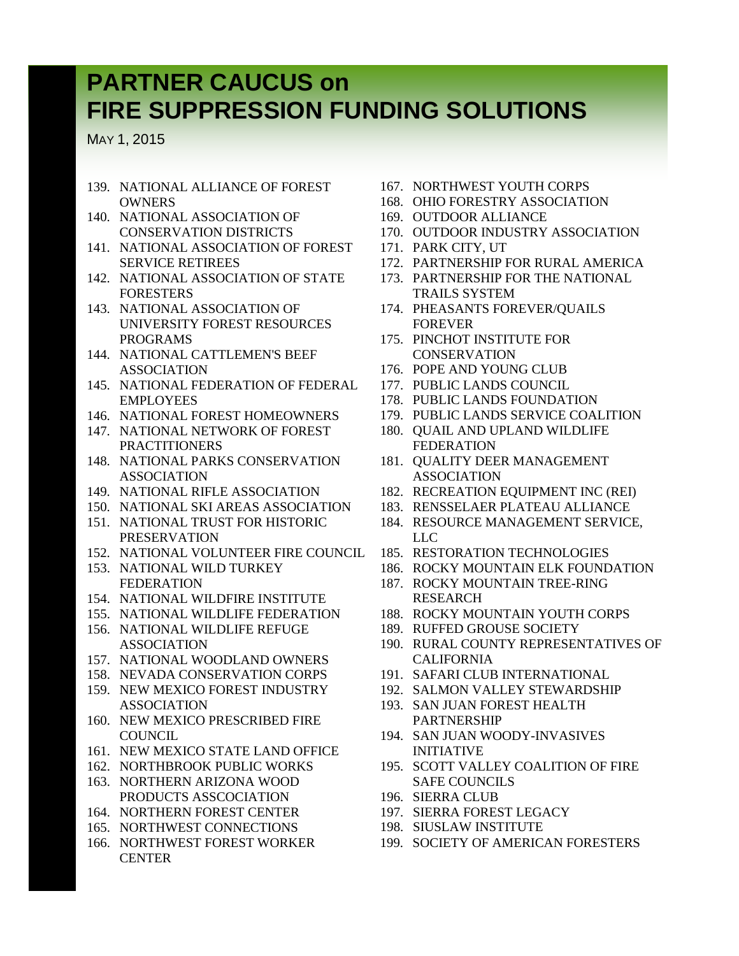MAY 1, 2015

- 139. NATIONAL ALLIANCE OF FOREST **OWNERS**
- 140. NATIONAL ASSOCIATION OF CONSERVATION DISTRICTS
- 141. NATIONAL ASSOCIATION OF FOREST SERVICE RETIREES
- 142. NATIONAL ASSOCIATION OF STATE FORESTERS
- 143. NATIONAL ASSOCIATION OF UNIVERSITY FOREST RESOURCES PROGRAMS
- 144. NATIONAL CATTLEMEN'S BEEF ASSOCIATION
- 145. NATIONAL FEDERATION OF FEDERAL EMPLOYEES
- 146. NATIONAL FOREST HOMEOWNERS
- 147. NATIONAL NETWORK OF FOREST PRACTITIONERS
- 148. NATIONAL PARKS CONSERVATION ASSOCIATION
- 149. NATIONAL RIFLE ASSOCIATION
- 150. NATIONAL SKI AREAS ASSOCIATION
- 151. NATIONAL TRUST FOR HISTORIC PRESERVATION
- 152. NATIONAL VOLUNTEER FIRE COUNCIL
- 153. NATIONAL WILD TURKEY FEDERATION
- 154. NATIONAL WILDFIRE INSTITUTE
- 155. NATIONAL WILDLIFE FEDERATION
- 156. NATIONAL WILDLIFE REFUGE ASSOCIATION
- 157. NATIONAL WOODLAND OWNERS
- 158. NEVADA CONSERVATION CORPS
- 159. NEW MEXICO FOREST INDUSTRY ASSOCIATION
- 160. NEW MEXICO PRESCRIBED FIRE **COUNCIL**
- 161. NEW MEXICO STATE LAND OFFICE
- 162. NORTHBROOK PUBLIC WORKS
- 163. NORTHERN ARIZONA WOOD PRODUCTS ASSCOCIATION
- 164. NORTHERN FOREST CENTER
- 165. NORTHWEST CONNECTIONS
- 166. NORTHWEST FOREST WORKER **CENTER**
- 167. NORTHWEST YOUTH CORPS
- 168. OHIO FORESTRY ASSOCIATION
- 169. OUTDOOR ALLIANCE
- 170. OUTDOOR INDUSTRY ASSOCIATION
- 171. PARK CITY, UT
- 172. PARTNERSHIP FOR RURAL AMERICA
- 173. PARTNERSHIP FOR THE NATIONAL TRAILS SYSTEM
- 174. PHEASANTS FOREVER/QUAILS FOREVER
- 175. PINCHOT INSTITUTE FOR **CONSERVATION**
- 176. POPE AND YOUNG CLUB
- 177. PUBLIC LANDS COUNCIL
- 178. PUBLIC LANDS FOUNDATION
- 179. PUBLIC LANDS SERVICE COALITION
- 180. QUAIL AND UPLAND WILDLIFE FEDERATION
- 181. QUALITY DEER MANAGEMENT ASSOCIATION
- 182. RECREATION EQUIPMENT INC (REI)
- 183. RENSSELAER PLATEAU ALLIANCE
- 184. RESOURCE MANAGEMENT SERVICE, LLC
- 185. RESTORATION TECHNOLOGIES
- 186. ROCKY MOUNTAIN ELK FOUNDATION
- 187. ROCKY MOUNTAIN TREE-RING RESEARCH
- 188. ROCKY MOUNTAIN YOUTH CORPS
- 189. RUFFED GROUSE SOCIETY
- 190. RURAL COUNTY REPRESENTATIVES OF CALIFORNIA
- 191. SAFARI CLUB INTERNATIONAL
- 192. SALMON VALLEY STEWARDSHIP
- 193. SAN JUAN FOREST HEALTH PARTNERSHIP
- 194. SAN JUAN WOODY-INVASIVES INITIATIVE
- 195. SCOTT VALLEY COALITION OF FIRE SAFE COUNCILS
- 196. SIERRA CLUB
- 197. SIERRA FOREST LEGACY
- 198. SIUSLAW INSTITUTE
- 199. SOCIETY OF AMERICAN FORESTERS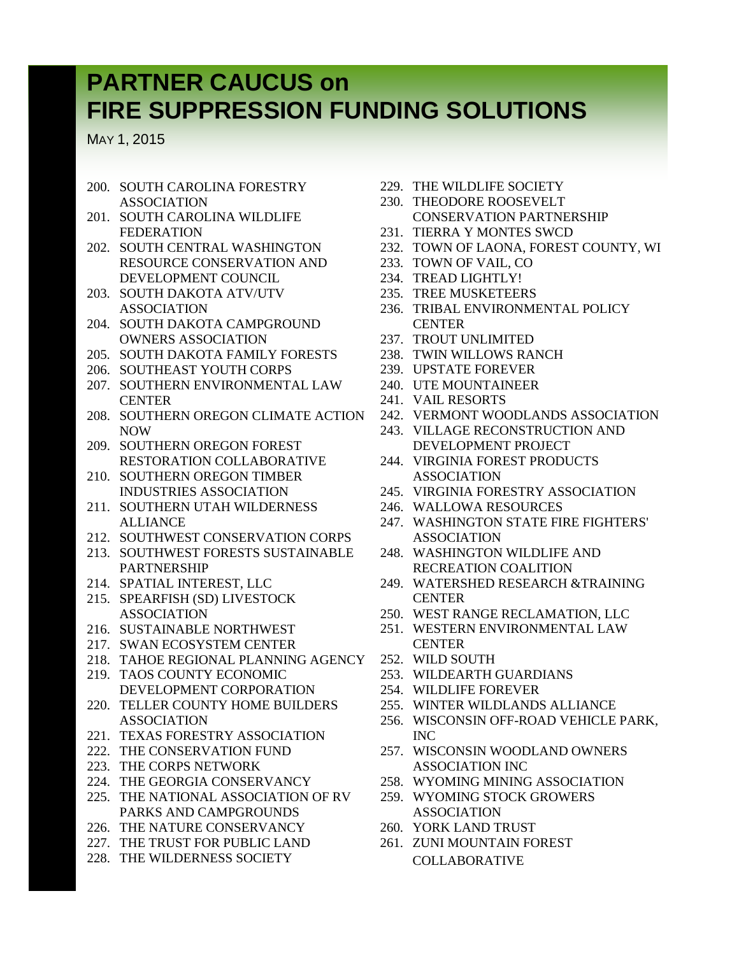MAY 1, 2015

- 200. SOUTH CAROLINA FORESTRY ASSOCIATION
- 201. SOUTH CAROLINA WILDLIFE FEDERATION
- 202. SOUTH CENTRAL WASHINGTON RESOURCE CONSERVATION AND DEVELOPMENT COUNCIL
- 203. SOUTH DAKOTA ATV/UTV ASSOCIATION
- 204. SOUTH DAKOTA CAMPGROUND OWNERS ASSOCIATION
- 205. SOUTH DAKOTA FAMILY FORESTS
- 206. SOUTHEAST YOUTH CORPS
- 207. SOUTHERN ENVIRONMENTAL LAW **CENTER**
- 208. SOUTHERN OREGON CLIMATE ACTION NOW
- 209. SOUTHERN OREGON FOREST RESTORATION COLLABORATIVE
- 210. SOUTHERN OREGON TIMBER INDUSTRIES ASSOCIATION
- 211. SOUTHERN UTAH WILDERNESS ALLIANCE
- 212. SOUTHWEST CONSERVATION CORPS
- 213. SOUTHWEST FORESTS SUSTAINABLE PARTNERSHIP
- 214. SPATIAL INTEREST, LLC
- 215. SPEARFISH (SD) LIVESTOCK ASSOCIATION
- 216. SUSTAINABLE NORTHWEST
- 217. SWAN ECOSYSTEM CENTER
- 218. TAHOE REGIONAL PLANNING AGENCY
- 219. TAOS COUNTY ECONOMIC DEVELOPMENT CORPORATION
- 220. TELLER COUNTY HOME BUILDERS ASSOCIATION
- 221. TEXAS FORESTRY ASSOCIATION
- 222. THE CONSERVATION FUND
- 223. THE CORPS NETWORK
- 224. THE GEORGIA CONSERVANCY
- 225. THE NATIONAL ASSOCIATION OF RV PARKS AND CAMPGROUNDS
- 226. THE NATURE CONSERVANCY
- 227. THE TRUST FOR PUBLIC LAND
- 228. THE WILDERNESS SOCIETY
- 229. THE WILDLIFE SOCIETY
- 230. THEODORE ROOSEVELT CONSERVATION PARTNERSHIP
- 231. TIERRA Y MONTES SWCD
- 232. TOWN OF LAONA, FOREST COUNTY, WI
- 233. TOWN OF VAIL, CO
- 234. TREAD LIGHTLY!
- 235. TREE MUSKETEERS
- 236. TRIBAL ENVIRONMENTAL POLICY **CENTER**
- 237. TROUT UNLIMITED
- 238. TWIN WILLOWS RANCH
- 239. UPSTATE FOREVER
- 240. UTE MOUNTAINEER
- 241. VAIL RESORTS
- 242. VERMONT WOODLANDS ASSOCIATION
- 243. VILLAGE RECONSTRUCTION AND DEVELOPMENT PROJECT
- 244. VIRGINIA FOREST PRODUCTS ASSOCIATION
- 245. VIRGINIA FORESTRY ASSOCIATION
- 246. WALLOWA RESOURCES
- 247. WASHINGTON STATE FIRE FIGHTERS' ASSOCIATION
- 248. WASHINGTON WILDLIFE AND RECREATION COALITION
- 249. WATERSHED RESEARCH &TRAINING **CENTER**
- 250. WEST RANGE RECLAMATION, LLC
- 251. WESTERN ENVIRONMENTAL LAW **CENTER**
- 252. WILD SOUTH
- 253. WILDEARTH GUARDIANS
- 254. WILDLIFE FOREVER
- 255. WINTER WILDLANDS ALLIANCE
- 256. WISCONSIN OFF-ROAD VEHICLE PARK, INC
- 257. WISCONSIN WOODLAND OWNERS ASSOCIATION INC
- 258. WYOMING MINING ASSOCIATION
- 259. WYOMING STOCK GROWERS ASSOCIATION
- 260. YORK LAND TRUST
- 261. ZUNI MOUNTAIN FOREST COLLABORATIVE